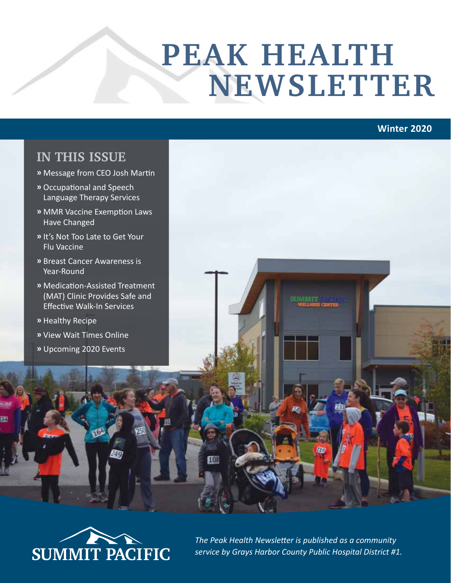# **PEAK HEALTH NEWSLETTER**

#### **Winter 2020**

#### **IN THIS ISSUE**

- **»** Message from CEO Josh Martin
- **»** Occupational and Speech Language Therapy Services
- **»** MMR Vaccine Exemption Laws Have Changed
- **»** It's Not Too Late to Get Your Flu Vaccine
- **»** Breast Cancer Awareness is Year-Round
- **»** Medication-Assisted Treatment (MAT) Clinic Provides Safe and Effective Walk-In Services
- **»** Healthy Recipe
- **»** View Wait Times Online
- **»** Upcoming 2020 Events



*The Peak Health Newsletter is published as a community service by Grays Harbor County Public Hospital District #1.*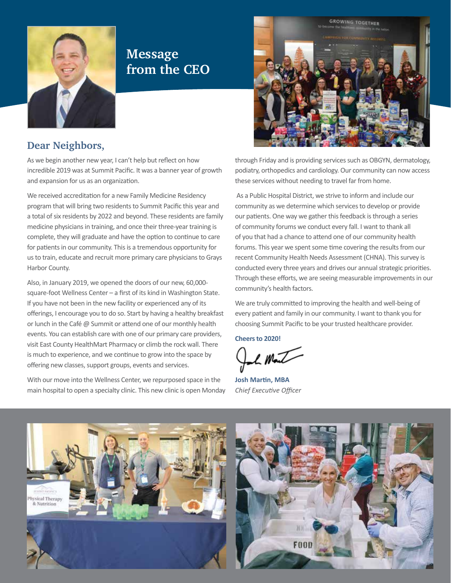

### **Message from the CEO**



#### **Dear Neighbors,**

As we begin another new year, I can't help but reflect on how incredible 2019 was at Summit Pacific. It was a banner year of growth and expansion for us as an organization.

We received accreditation for a new Family Medicine Residency program that will bring two residents to Summit Pacific this year and a total of six residents by 2022 and beyond. These residents are family medicine physicians in training, and once their three-year training is complete, they will graduate and have the option to continue to care for patients in our community. This is a tremendous opportunity for us to train, educate and recruit more primary care physicians to Grays Harbor County.

Also, in January 2019, we opened the doors of our new, 60,000 square-foot Wellness Center – a first of its kind in Washington State. If you have not been in the new facility or experienced any of its offerings, I encourage you to do so. Start by having a healthy breakfast or lunch in the Café @ Summit or attend one of our monthly health events. You can establish care with one of our primary care providers, visit East County HealthMart Pharmacy or climb the rock wall. There is much to experience, and we continue to grow into the space by offering new classes, support groups, events and services.

With our move into the Wellness Center, we repurposed space in the main hospital to open a specialty clinic. This new clinic is open Monday through Friday and is providing services such as OBGYN, dermatology, podiatry, orthopedics and cardiology. Our community can now access these services without needing to travel far from home.

 As a Public Hospital District, we strive to inform and include our community as we determine which services to develop or provide our patients. One way we gather this feedback is through a series of community forums we conduct every fall. I want to thank all of you that had a chance to attend one of our community health forums. This year we spent some time covering the results from our recent Community Health Needs Assessment (CHNA). This survey is conducted every three years and drives our annual strategic priorities. Through these efforts, we are seeing measurable improvements in our community's health factors.

We are truly committed to improving the health and well-being of every patient and family in our community. I want to thank you for choosing Summit Pacific to be your trusted healthcare provider.

**Cheers to 2020!** 

L Mark

**Josh Martin, MBA** *Chief Executive Officer*

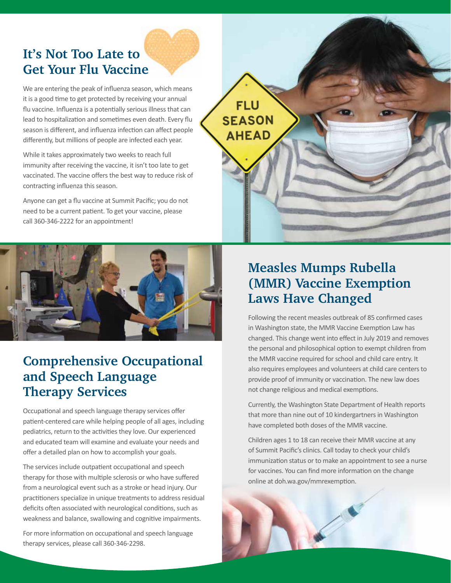# **It's Not Too Late to Get Your Flu Vaccine**

We are entering the peak of influenza season, which means it is a good time to get protected by receiving your annual flu vaccine. Influenza is a potentially serious illness that can lead to hospitalization and sometimes even death. Every flu season is different, and influenza infection can affect people differently, but millions of people are infected each year.

While it takes approximately two weeks to reach full immunity after receiving the vaccine, it isn't too late to get vaccinated. The vaccine offers the best way to reduce risk of contracting influenza this season.

Anyone can get a flu vaccine at Summit Pacific; you do not need to be a current patient. To get your vaccine, please call 360-346-2222 for an appointment!



## **Comprehensive Occupational and Speech Language Therapy Services**

Occupational and speech language therapy services offer patient-centered care while helping people of all ages, including pediatrics, return to the activities they love. Our experienced and educated team will examine and evaluate your needs and offer a detailed plan on how to accomplish your goals.

The services include outpatient occupational and speech therapy for those with multiple sclerosis or who have suffered from a neurological event such as a stroke or head injury. Our practitioners specialize in unique treatments to address residual deficits often associated with neurological conditions, such as weakness and balance, swallowing and cognitive impairments.

For more information on occupational and speech language therapy services, please call 360-346-2298.

# **Measles Mumps Rubella (MMR) Vaccine Exemption Laws Have Changed**

**FLU** 

**SEASON** 

**AHEAD** 

Following the recent measles outbreak of 85 confirmed cases in Washington state, the MMR Vaccine Exemption Law has changed. This change went into effect in July 2019 and removes the personal and philosophical option to exempt children from the MMR vaccine required for school and child care entry. It also requires employees and volunteers at child care centers to provide proof of immunity or vaccination. The new law does not change religious and medical exemptions.

Currently, the Washington State Department of Health reports that more than nine out of 10 kindergartners in Washington have completed both doses of the MMR vaccine.

Children ages 1 to 18 can receive their MMR vaccine at any of Summit Pacific's clinics. Call today to check your child's immunization status or to make an appointment to see a nurse for vaccines. You can find more information on the change online at doh.wa.gov/mmrexemption.

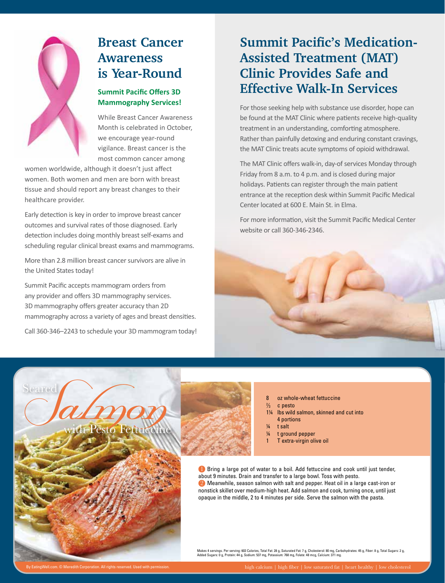

### **Breast Cancer Awareness is Year-Round**

#### **Summit Pacific Offers 3D Mammography Services!**

While Breast Cancer Awareness Month is celebrated in October, we encourage year-round vigilance. Breast cancer is the most common cancer among

women worldwide, although it doesn't just affect women. Both women and men are born with breast tissue and should report any breast changes to their healthcare provider.

Early detection is key in order to improve breast cancer outcomes and survival rates of those diagnosed. Early detection includes doing monthly breast self-exams and scheduling regular clinical breast exams and mammograms.

More than 2.8 million breast cancer survivors are alive in the United States today!

Summit Pacific accepts mammogram orders from any provider and offers 3D mammography services. 3D mammography offers greater accuracy than 2D mammography across a variety of ages and breast densities.

Call 360-346–2243 to schedule your 3D mammogram today!

## **Summit Pacific's Medication-Assisted Treatment (MAT) Clinic Provides Safe and Effective Walk-In Services**

For those seeking help with substance use disorder, hope can be found at the MAT Clinic where patients receive high-quality treatment in an understanding, comforting atmosphere. Rather than painfully detoxing and enduring constant cravings, the MAT Clinic treats acute symptoms of opioid withdrawal.

The MAT Clinic offers walk-in, day-of services Monday through Friday from 8 a.m. to 4 p.m. and is closed during major holidays. Patients can register through the main patient entrance at the reception desk within Summit Pacific Medical Center located at 600 E. Main St. in Elma.

For more information, visit the Summit Pacific Medical Center website or call 360-346-2346.





8 oz whole-wheat fettuccine

- $\frac{2}{3}$ c pesto
- 1¼ lbs wild salmon, skinned and cut into 4 portions
- ¼ t salt
- ¼ t ground pepper
- 1 T extra-virgin olive oil

**D** Bring a large pot of water to a boil. Add fettuccine and cook until just tender, about 9 minutes. Drain and transfer to a large bowl. Toss with pesto.

2 Meanwhile, season salmon with salt and pepper. Heat oil in a large cast-iron or nonstick skillet over medium-high heat. Add salmon and cook, turning once, until just opaque in the middle, 2 to 4 minutes per side. Serve the salmon with the pasta.

Makes 4 servings. Per serving: 603 Calories, Total Fat: 28 g, Saturated Fat: 7 g, Cholesterol: 80 mg, Carbohydrates: 45 g, Fiber: 8 g, Total Sugars: 2 g,<br>Added Sugars: 0 g, Protein: 44 g, Sodium: 537 mg, Potassium: 768 mg,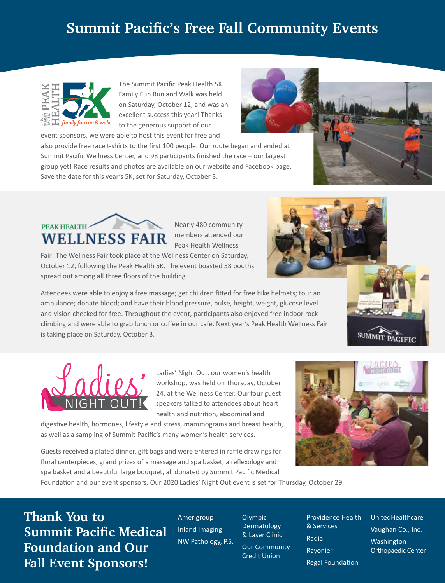# **Summit Pacific's Free Fall Community Events**



The Summit Pacific Peak Health 5K Family Fun Run and Walk was held on Saturday, October 12, and was an excellent success this year! Thanks to the generous support of our event sponsors, we were able to host this event for free and



also provide free race t-shirts to the first 100 people. Our route began and ended at Summit Pacific Wellness Center, and 98 participants finished the race – our largest group yet! Race results and photos are available on our website and Facebook page. Save the date for this year's 5K, set for Saturday, October 3.



Nearly 480 community members attended our Peak Health Wellness

Fair! The Wellness Fair took place at the Wellness Center on Saturday, October 12, following the Peak Health 5K. The event boasted 58 booths spread out among all three floors of the building.

Attendees were able to enjoy a free massage; get children fitted for free bike helmets; tour an ambulance; donate blood; and have their blood pressure, pulse, height, weight, glucose level and vision checked for free. Throughout the event, participants also enjoyed free indoor rock climbing and were able to grab lunch or coffee in our café. Next year's Peak Health Wellness Fair is taking place on Saturday, October 3.



Ladies' Night Out, our women's health workshop, was held on Thursday, October 24, at the Wellness Center. Our four guest speakers talked to attendees about heart health and nutrition, abdominal and

digestive health, hormones, lifestyle and stress, mammograms and breast health, as well as a sampling of Summit Pacific's many women's health services.

Guests received a plated dinner, gift bags and were entered in raffle drawings for floral centerpieces, grand prizes of a massage and spa basket, a reflexology and spa basket and a beautiful large bouquet, all donated by Summit Pacific Medical



**SUMMIT** 

PACIFIC

Foundation and our event sponsors. Our 2020 Ladies' Night Out event is set for Thursday, October 29.

**Thank You to Summit Pacific Medical Foundation and Our Fall Event Sponsors!**

Amerigroup Inland Imaging NW Pathology, P.S.

**Olympic** Dermatology & Laser Clinic Our Community Credit Union

Providence Health & Services Radia Rayonier Regal Foundation

UnitedHealthcare Vaughan Co., Inc. **Washington** Orthopaedic Center